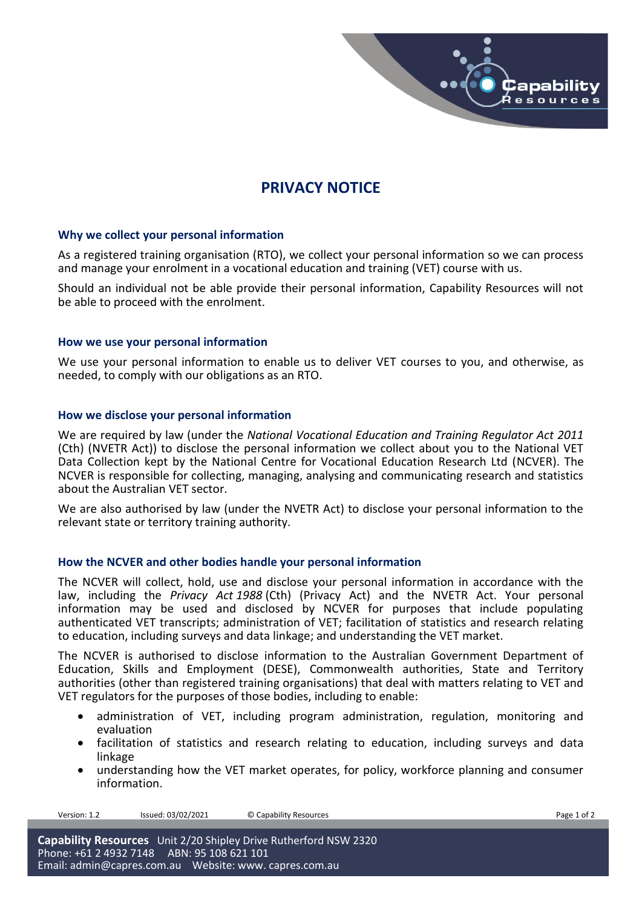

# **PRIVACY NOTICE**

# **Why we collect your personal information**

As a registered training organisation (RTO), we collect your personal information so we can process and manage your enrolment in a vocational education and training (VET) course with us.

Should an individual not be able provide their personal information, Capability Resources will not be able to proceed with the enrolment.

#### **How we use your personal information**

We use your personal information to enable us to deliver VET courses to you, and otherwise, as needed, to comply with our obligations as an RTO.

#### **How we disclose your personal information**

We are required by law (under the *National Vocational Education and Training Regulator Act 2011*  (Cth) (NVETR Act)) to disclose the personal information we collect about you to the National VET Data Collection kept by the National Centre for Vocational Education Research Ltd (NCVER). The NCVER is responsible for collecting, managing, analysing and communicating research and statistics about the Australian VET sector.

We are also authorised by law (under the NVETR Act) to disclose your personal information to the relevant state or territory training authority.

#### **How the NCVER and other bodies handle your personal information**

The NCVER will collect, hold, use and disclose your personal information in accordance with the law, including the *Privacy Act 1988* (Cth) (Privacy Act) and the NVETR Act. Your personal information may be used and disclosed by NCVER for purposes that include populating authenticated VET transcripts; administration of VET; facilitation of statistics and research relating to education, including surveys and data linkage; and understanding the VET market.

The NCVER is authorised to disclose information to the Australian Government Department of Education, Skills and Employment (DESE), Commonwealth authorities, State and Territory authorities (other than registered training organisations) that deal with matters relating to VET and VET regulators for the purposes of those bodies, including to enable:

- administration of VET, including program administration, regulation, monitoring and evaluation
- facilitation of statistics and research relating to education, including surveys and data linkage
- understanding how the VET market operates, for policy, workforce planning and consumer information.

Version: 1.2 Issued: 03/02/2021 © Capability Resources **Page 1 of 2** Page 1 of 2

**Capability Resources** Unit 2/20 Shipley Drive Rutherford NSW 2320 Phone: +61 2 4932 7148 ABN: 95 108 621 101 Email: [admin@capres.com.au](mailto:admin@capres.com.au) Website: www. capres.com.au